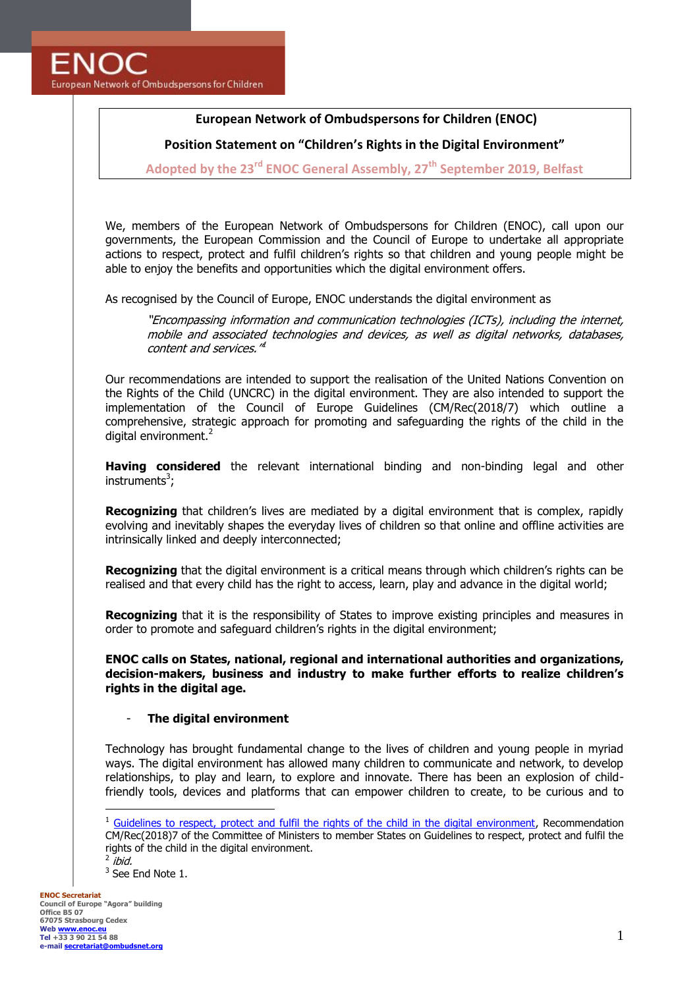# **European Network of Ombudspersons for Children (ENOC)**

**Position Statement on "Children's Rights in the Digital Environment"**

**Adopted by the 23rd ENOC General Assembly, 27th September 2019, Belfast**

We, members of the European Network of Ombudspersons for Children (ENOC), call upon our governments, the European Commission and the Council of Europe to undertake all appropriate actions to respect, protect and fulfil children's rights so that children and young people might be able to enjoy the benefits and opportunities which the digital environment offers.

As recognised by the Council of Europe, ENOC understands the digital environment as

"Encompassing information and communication technologies (ICTs), including the internet, mobile and associated technologies and devices, as well as digital networks, databases, content and services."

Our recommendations are intended to support the realisation of the United Nations Convention on the Rights of the Child (UNCRC) in the digital environment. They are also intended to support the implementation of the Council of Europe Guidelines (CM/Rec(2018/7) which outline a comprehensive, strategic approach for promoting and safeguarding the rights of the child in the digital environment.<sup>2</sup>

**Having considered** the relevant international binding and non-binding legal and other instruments<sup>3</sup>;

**Recognizing** that children's lives are mediated by a digital environment that is complex, rapidly evolving and inevitably shapes the everyday lives of children so that online and offline activities are intrinsically linked and deeply interconnected;

**Recognizing** that the digital environment is a critical means through which children's rights can be realised and that every child has the right to access, learn, play and advance in the digital world;

**Recognizing** that it is the responsibility of States to improve existing principles and measures in order to promote and safeguard children's rights in the digital environment;

**ENOC calls on States, national, regional and international authorities and organizations, decision-makers, business and industry to make further efforts to realize children's rights in the digital age.** 

## - **The digital environment**

Technology has brought fundamental change to the lives of children and young people in myriad ways. The digital environment has allowed many children to communicate and network, to develop relationships, to play and learn, to explore and innovate. There has been an explosion of childfriendly tools, devices and platforms that can empower children to create, to be curious and to

 $<sup>1</sup>$  Guidelines [to respect, protect and fulfil the rights of the child in the digital environment,](https://rm.coe.int/guidelines-to-respect-protect-and-fulfil-the-rights-of-the-child-in-th/16808d881a) Recommendation</sup> CM/Rec(2018)7 of the Committee of Ministers to member States on Guidelines to respect, protect and fulfil the rights of the child in the digital environment.  $^2$  ibid.

<sup>&</sup>lt;sup>3</sup> See End Note 1.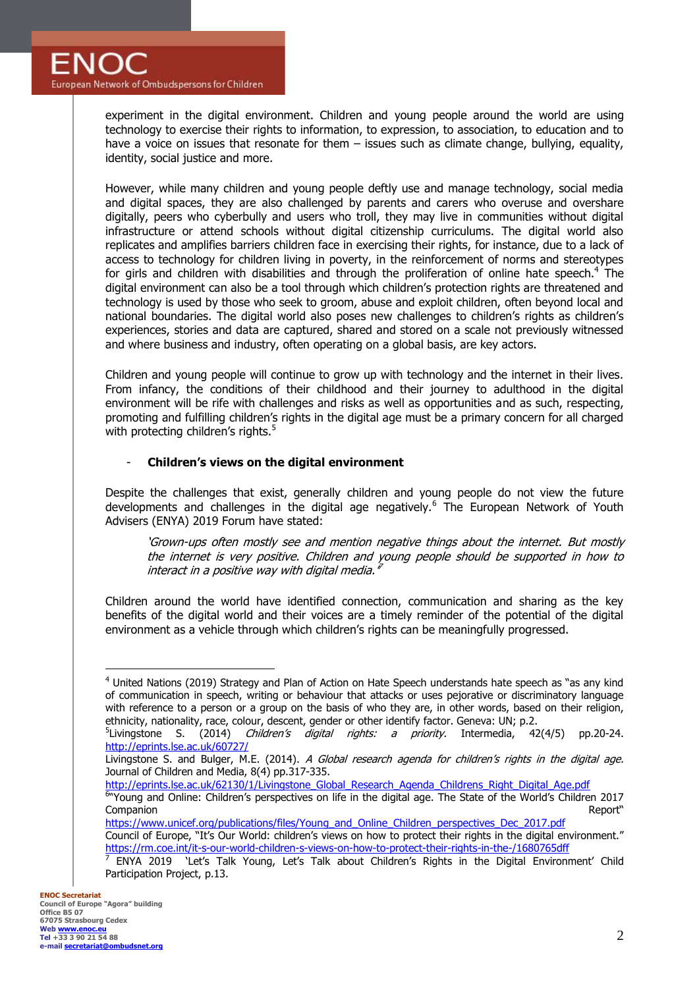experiment in the digital environment. Children and young people around the world are using technology to exercise their rights to information, to expression, to association, to education and to have a voice on issues that resonate for them – issues such as climate change, bullying, equality, identity, social justice and more.

However, while many children and young people deftly use and manage technology, social media and digital spaces, they are also challenged by parents and carers who overuse and overshare digitally, peers who cyberbully and users who troll, they may live in communities without digital infrastructure or attend schools without digital citizenship curriculums. The digital world also replicates and amplifies barriers children face in exercising their rights, for instance, due to a lack of access to technology for children living in poverty, in the reinforcement of norms and stereotypes for girls and children with disabilities and through the proliferation of online hate speech.<sup>4</sup> The digital environment can also be a tool through which children's protection rights are threatened and technology is used by those who seek to groom, abuse and exploit children, often beyond local and national boundaries. The digital world also poses new challenges to children's rights as children's experiences, stories and data are captured, shared and stored on a scale not previously witnessed and where business and industry, often operating on a global basis, are key actors.

Children and young people will continue to grow up with technology and the internet in their lives. From infancy, the conditions of their childhood and their journey to adulthood in the digital environment will be rife with challenges and risks as well as opportunities and as such, respecting, promoting and fulfilling children's rights in the digital age must be a primary concern for all charged with protecting children's rights. $5$ 

## - **Children's views on the digital environment**

Despite the challenges that exist, generally children and young people do not view the future developments and challenges in the digital age negatively.<sup>6</sup> The European Network of Youth Advisers (ENYA) 2019 Forum have stated:

'Grown-ups often mostly see and mention negative things about the internet. But mostly the internet is very positive. Children and young people should be supported in how to interact in a positive way with digital media.  $^{\bar{r}}$ 

Children around the world have identified connection, communication and sharing as the key benefits of the digital world and their voices are a timely reminder of the potential of the digital environment as a vehicle through which children's rights can be meaningfully progressed.

<sup>4</sup> United Nations (2019) Strategy and Plan of Action on Hate Speech understands hate speech as "as any kind of communication in speech, writing or behaviour that attacks or uses pejorative or discriminatory language with reference to a person or a group on the basis of who they are, in other words, based on their religion, ethnicity, nationality, race, colour, descent, gender or other identify factor. Geneva: UN; p.2.

<sup>&</sup>lt;sup>5</sup>Livingstone S. (2014) *Children's digital rights: a priority.* Intermedia, 42(4/5) pp.20-24. <http://eprints.lse.ac.uk/60727/>

Livingstone S. and Bulger, M.E. (2014). A Global research agenda for children's rights in the digital age. Journal of Children and Media, 8(4) pp.317-335.

[http://eprints.lse.ac.uk/62130/1/Livingstone\\_Global\\_Research\\_Agenda\\_Childrens\\_Right\\_Digital\\_Age.pdf](http://eprints.lse.ac.uk/62130/1/Livingstone_Global_Research_Agenda_Childrens_Right_Digital_Age.pdf)<br><sup>6</sup> Young and Online: Children's perspectives on life in the digital age. The State of the World's Children 2017 Companion Report"

[https://www.unicef.org/publications/files/Young\\_and\\_Online\\_Children\\_perspectives\\_Dec\\_2017.pdf](https://www.unicef.org/publications/files/Young_and_Online_Children_perspectives_Dec_2017.pdf) Council of Europe, "It's Our World: children's views on how to protect their rights in the digital environment."

<https://rm.coe.int/it-s-our-world-children-s-views-on-how-to-protect-their-rights-in-the-/1680765dff><br><sup>7</sup> ENYA 2019, 'Lot's Talk Young, Let's Talk about Children's Bights in the Digital Environ ENYA 2019 'Let's Talk Young, Let's Talk about Children's Rights in the Digital Environment' Child Participation Project, p.13.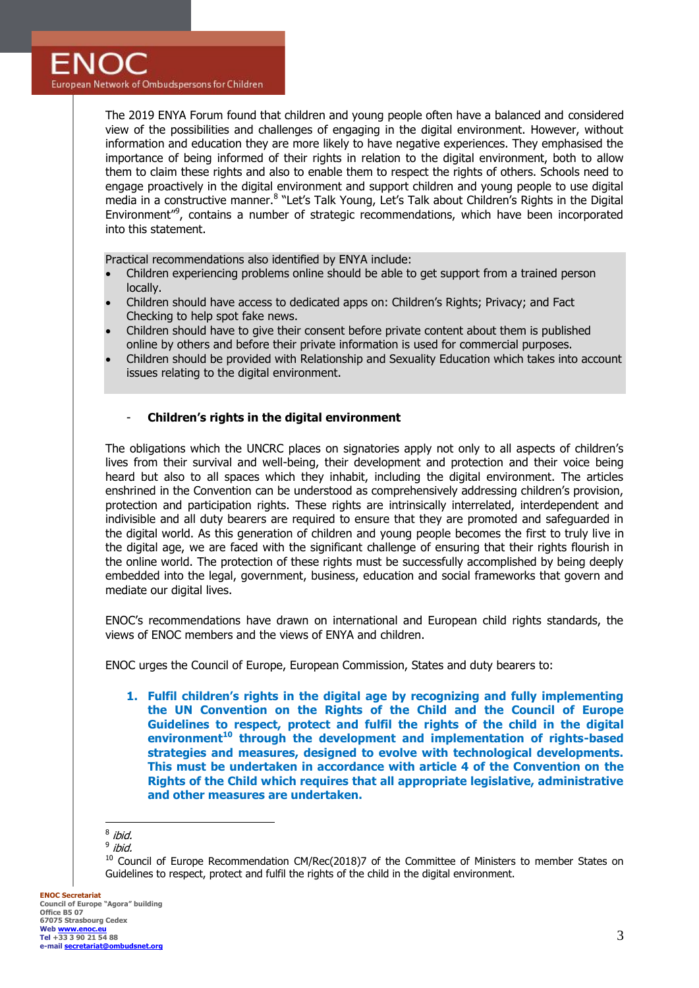The 2019 ENYA Forum found that children and young people often have a balanced and considered view of the possibilities and challenges of engaging in the digital environment. However, without information and education they are more likely to have negative experiences. They emphasised the importance of being informed of their rights in relation to the digital environment, both to allow them to claim these rights and also to enable them to respect the rights of others. Schools need to engage proactively in the digital environment and support children and young people to use digital media in a constructive manner.<sup>8</sup> "Let's Talk Young, Let's Talk about Children's Rights in the Digital Environment"<sup>9</sup>, contains a number of strategic recommendations, which have been incorporated into this statement.

Practical recommendations also identified by ENYA include:

- Children experiencing problems online should be able to get support from a trained person locally.
- Children should have access to dedicated apps on: Children's Rights; Privacy; and Fact Checking to help spot fake news.
- Children should have to give their consent before private content about them is published online by others and before their private information is used for commercial purposes.
- Children should be provided with Relationship and Sexuality Education which takes into account issues relating to the digital environment.

## - **Children's rights in the digital environment**

The obligations which the UNCRC places on signatories apply not only to all aspects of children's lives from their survival and well-being, their development and protection and their voice being heard but also to all spaces which they inhabit, including the digital environment. The articles enshrined in the Convention can be understood as comprehensively addressing children's provision, protection and participation rights. These rights are intrinsically interrelated, interdependent and indivisible and all duty bearers are required to ensure that they are promoted and safeguarded in the digital world. As this generation of children and young people becomes the first to truly live in the digital age, we are faced with the significant challenge of ensuring that their rights flourish in the online world. The protection of these rights must be successfully accomplished by being deeply embedded into the legal, government, business, education and social frameworks that govern and mediate our digital lives.

ENOC's recommendations have drawn on international and European child rights standards, the views of ENOC members and the views of ENYA and children.

ENOC urges the Council of Europe, European Commission, States and duty bearers to:

**1. Fulfil children's rights in the digital age by recognizing and fully implementing the UN Convention on the Rights of the Child and the Council of Europe Guidelines to respect, protect and fulfil the rights of the child in the digital environment<sup>10</sup> through the development and implementation of rights-based strategies and measures, designed to evolve with technological developments. This must be undertaken in accordance with article 4 of the Convention on the Rights of the Child which requires that all appropriate legislative, administrative and other measures are undertaken.** 

**ENOC Secretariat Council of Europe "Agora" building Office B5 07 67075 Strasbourg Cedex Web www.enoc. Tel +33 3 90 21 54 88 e-mail [secretariat@ombudsnet.org](mailto:secretariat@ombudsnet.org)**

an<br><sup>8</sup> ibid.

<sup>&</sup>lt;sup>9</sup> ibid.

<sup>&</sup>lt;sup>10</sup> Council of Europe Recommendation CM/Rec(2018)7 of the Committee of Ministers to member States on Guidelines to respect, protect and fulfil the rights of the child in the digital environment.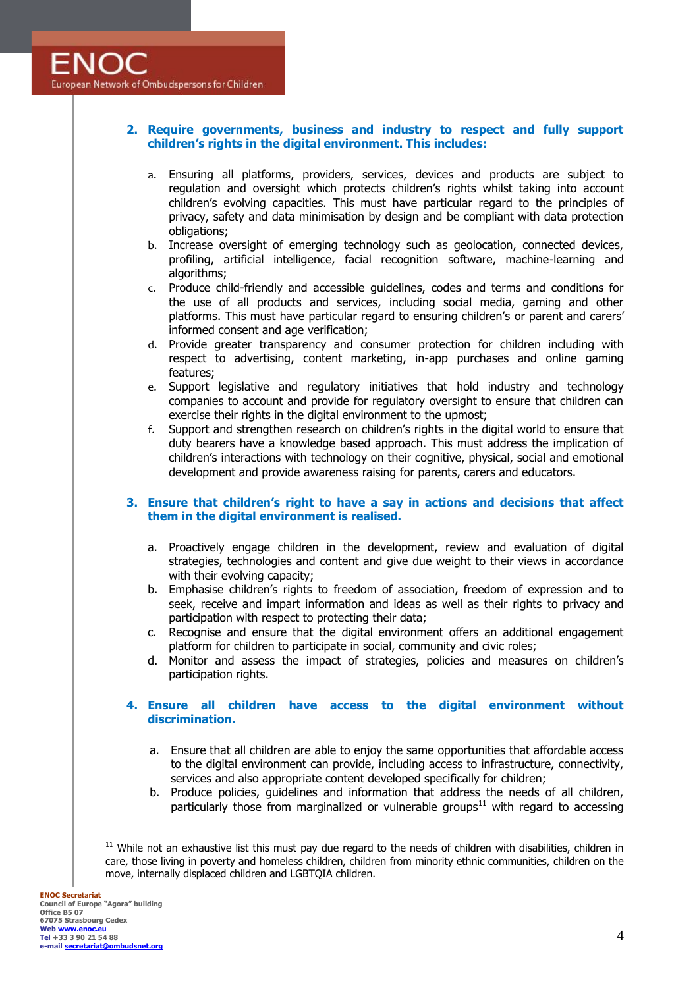## **2. Require governments, business and industry to respect and fully support children's rights in the digital environment. This includes:**

- a. Ensuring all platforms, providers, services, devices and products are subject to regulation and oversight which protects children's rights whilst taking into account children's evolving capacities. This must have particular regard to the principles of privacy, safety and data minimisation by design and be compliant with data protection obligations;
- b. Increase oversight of emerging technology such as geolocation, connected devices, profiling, artificial intelligence, facial recognition software, machine-learning and algorithms;
- c. Produce child-friendly and accessible guidelines, codes and terms and conditions for the use of all products and services, including social media, gaming and other platforms. This must have particular regard to ensuring children's or parent and carers' informed consent and age verification;
- d. Provide greater transparency and consumer protection for children including with respect to advertising, content marketing, in-app purchases and online gaming features;
- e. Support legislative and regulatory initiatives that hold industry and technology companies to account and provide for regulatory oversight to ensure that children can exercise their rights in the digital environment to the upmost;
- f. Support and strengthen research on children's rights in the digital world to ensure that duty bearers have a knowledge based approach. This must address the implication of children's interactions with technology on their cognitive, physical, social and emotional development and provide awareness raising for parents, carers and educators.

## **3. Ensure that children's right to have a say in actions and decisions that affect them in the digital environment is realised.**

- a. Proactively engage children in the development, review and evaluation of digital strategies, technologies and content and give due weight to their views in accordance with their evolving capacity;
- b. Emphasise children's rights to freedom of association, freedom of expression and to seek, receive and impart information and ideas as well as their rights to privacy and participation with respect to protecting their data;
- c. Recognise and ensure that the digital environment offers an additional engagement platform for children to participate in social, community and civic roles;
- d. Monitor and assess the impact of strategies, policies and measures on children's participation rights.

## **4. Ensure all children have access to the digital environment without discrimination.**

- a. Ensure that all children are able to enjoy the same opportunities that affordable access to the digital environment can provide, including access to infrastructure, connectivity, services and also appropriate content developed specifically for children;
- b. Produce policies, guidelines and information that address the needs of all children, particularly those from marginalized or vulnerable groups $11$  with regard to accessing

 $11$  While not an exhaustive list this must pay due regard to the needs of children with disabilities, children in care, those living in poverty and homeless children, children from minority ethnic communities, children on the move, internally displaced children and LGBTQIA children.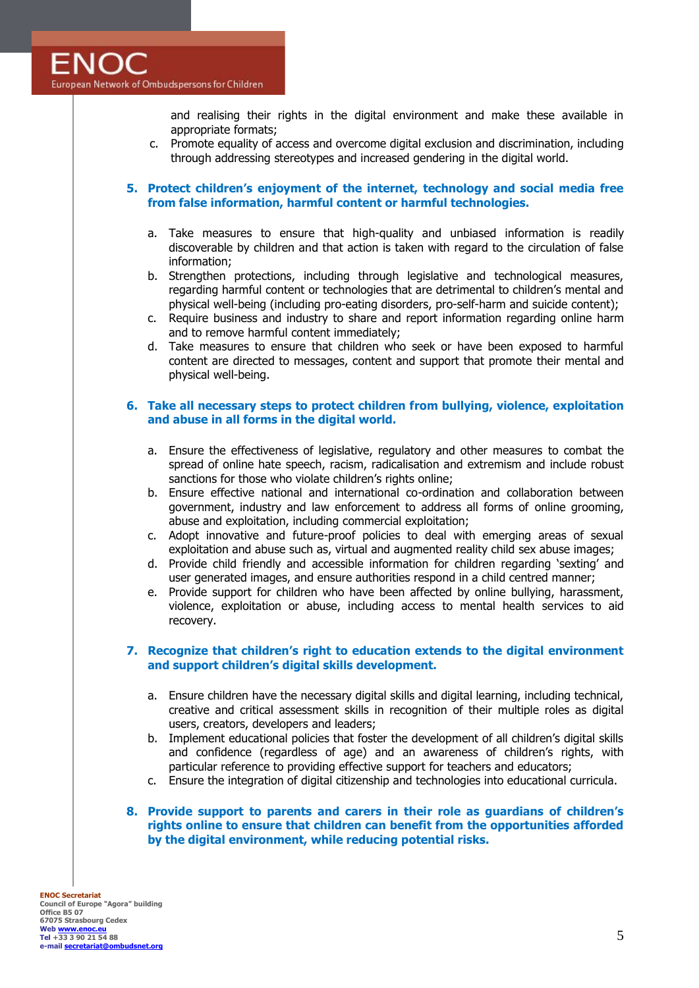and realising their rights in the digital environment and make these available in appropriate formats;

c. Promote equality of access and overcome digital exclusion and discrimination, including through addressing stereotypes and increased gendering in the digital world.

## **5. Protect children's enjoyment of the internet, technology and social media free from false information, harmful content or harmful technologies.**

- a. Take measures to ensure that high-quality and unbiased information is readily discoverable by children and that action is taken with regard to the circulation of false information;
- b. Strengthen protections, including through legislative and technological measures, regarding harmful content or technologies that are detrimental to children's mental and physical well-being (including pro-eating disorders, pro-self-harm and suicide content);
- c. Require business and industry to share and report information regarding online harm and to remove harmful content immediately;
- d. Take measures to ensure that children who seek or have been exposed to harmful content are directed to messages, content and support that promote their mental and physical well-being.

## **6. Take all necessary steps to protect children from bullying, violence, exploitation and abuse in all forms in the digital world.**

- a. Ensure the effectiveness of legislative, regulatory and other measures to combat the spread of online hate speech, racism, radicalisation and extremism and include robust sanctions for those who violate children's rights online;
- b. Ensure effective national and international co-ordination and collaboration between government, industry and law enforcement to address all forms of online grooming, abuse and exploitation, including commercial exploitation;
- c. Adopt innovative and future-proof policies to deal with emerging areas of sexual exploitation and abuse such as, virtual and augmented reality child sex abuse images;
- d. Provide child friendly and accessible information for children regarding 'sexting' and user generated images, and ensure authorities respond in a child centred manner;
- e. Provide support for children who have been affected by online bullying, harassment, violence, exploitation or abuse, including access to mental health services to aid recovery.

## **7. Recognize that children's right to education extends to the digital environment and support children's digital skills development.**

- a. Ensure children have the necessary digital skills and digital learning, including technical, creative and critical assessment skills in recognition of their multiple roles as digital users, creators, developers and leaders;
- b. Implement educational policies that foster the development of all children's digital skills and confidence (regardless of age) and an awareness of children's rights, with particular reference to providing effective support for teachers and educators;
- c. Ensure the integration of digital citizenship and technologies into educational curricula.
- **8. Provide support to parents and carers in their role as guardians of children's rights online to ensure that children can benefit from the opportunities afforded by the digital environment, while reducing potential risks.**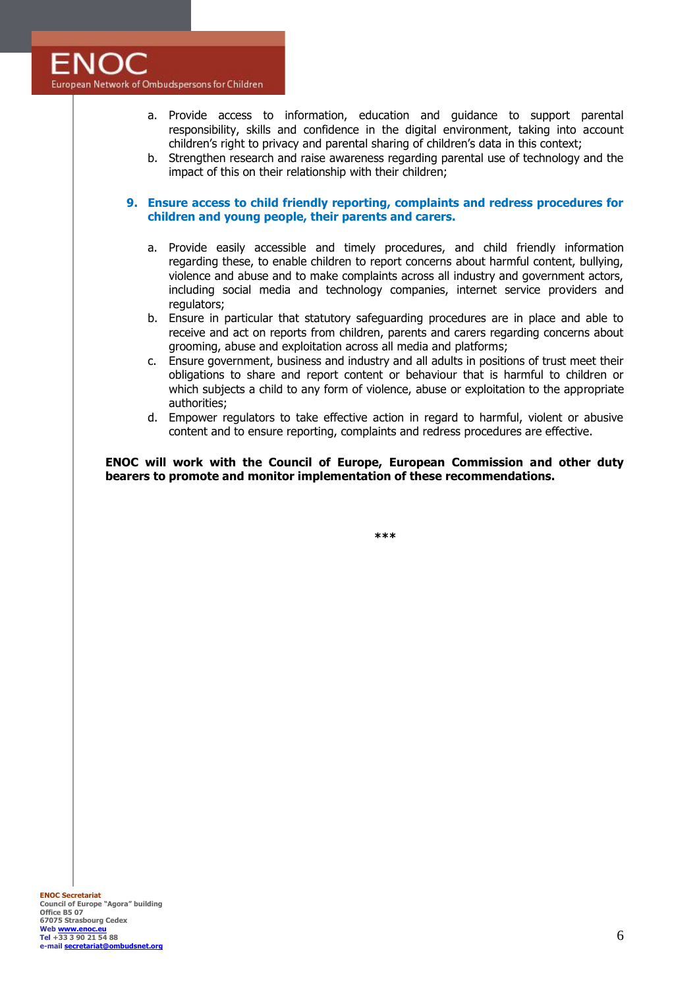- a. Provide access to information, education and guidance to support parental responsibility, skills and confidence in the digital environment, taking into account children's right to privacy and parental sharing of children's data in this context;
- b. Strengthen research and raise awareness regarding parental use of technology and the impact of this on their relationship with their children;

#### **9. Ensure access to child friendly reporting, complaints and redress procedures for children and young people, their parents and carers.**

- a. Provide easily accessible and timely procedures, and child friendly information regarding these, to enable children to report concerns about harmful content, bullying, violence and abuse and to make complaints across all industry and government actors, including social media and technology companies, internet service providers and regulators;
- b. Ensure in particular that statutory safeguarding procedures are in place and able to receive and act on reports from children, parents and carers regarding concerns about grooming, abuse and exploitation across all media and platforms;
- c. Ensure government, business and industry and all adults in positions of trust meet their obligations to share and report content or behaviour that is harmful to children or which subjects a child to any form of violence, abuse or exploitation to the appropriate authorities;
- d. Empower regulators to take effective action in regard to harmful, violent or abusive content and to ensure reporting, complaints and redress procedures are effective.

**ENOC will work with the Council of Europe, European Commission and other duty bearers to promote and monitor implementation of these recommendations.**

**\*\*\***

**ENOC Secretariat Council of Europe "Agora" building Office B5 07 67075 Strasbourg Cedex Web www.enoc.e Tel +33 3 90 21 54 88 e-mail [secretariat@ombudsnet.org](mailto:secretariat@ombudsnet.org)**